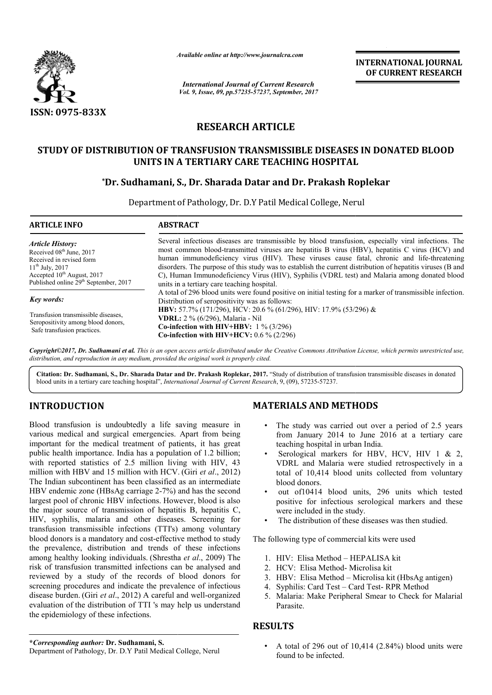

*Available online at http://www.journal http://www.journalcra.com*

# **RESEARCH ARTICLE**

## STUDY OF DISTRIBUTION OF TRANSFUSION TRANSMISSIBLE DISEASES IN DONATED BLOOD<br>UNITS IN A TERTIARY CARE TEACHING HOSPITAL **UNITS IN A TERTIARY CARE TEACHING HOSPITAL**

## **\*Dr. Sudhamani, S., Dr. Sharada Datar and Dr. Prakash Roplekar**

|                                                                                                                                                                                                                                                                                                                                                                                                                                                                                                                                                                                                                                                                                                                                                                                                                                                                                                                                                                                                                                                                                                                                                                                                                                                                                                                                                                             | ranuvic viime ui nup://www.jvurnuicru.com                                                                                                                                                                                                                                                                                                                                                                                                                                                                                                                          | <b>International Journal of Current Research</b>                                                                                                                                                                                                                    | <b>INTERNATIONAL JOURNAL</b><br>OF CURRENT RESEARCH                                                                                                                                                                                                                                                                                                                                                                                                                                                                                                                                                             |
|-----------------------------------------------------------------------------------------------------------------------------------------------------------------------------------------------------------------------------------------------------------------------------------------------------------------------------------------------------------------------------------------------------------------------------------------------------------------------------------------------------------------------------------------------------------------------------------------------------------------------------------------------------------------------------------------------------------------------------------------------------------------------------------------------------------------------------------------------------------------------------------------------------------------------------------------------------------------------------------------------------------------------------------------------------------------------------------------------------------------------------------------------------------------------------------------------------------------------------------------------------------------------------------------------------------------------------------------------------------------------------|--------------------------------------------------------------------------------------------------------------------------------------------------------------------------------------------------------------------------------------------------------------------------------------------------------------------------------------------------------------------------------------------------------------------------------------------------------------------------------------------------------------------------------------------------------------------|---------------------------------------------------------------------------------------------------------------------------------------------------------------------------------------------------------------------------------------------------------------------|-----------------------------------------------------------------------------------------------------------------------------------------------------------------------------------------------------------------------------------------------------------------------------------------------------------------------------------------------------------------------------------------------------------------------------------------------------------------------------------------------------------------------------------------------------------------------------------------------------------------|
|                                                                                                                                                                                                                                                                                                                                                                                                                                                                                                                                                                                                                                                                                                                                                                                                                                                                                                                                                                                                                                                                                                                                                                                                                                                                                                                                                                             |                                                                                                                                                                                                                                                                                                                                                                                                                                                                                                                                                                    | Vol. 9, Issue, 09, pp.57235-57237, September, 2017                                                                                                                                                                                                                  |                                                                                                                                                                                                                                                                                                                                                                                                                                                                                                                                                                                                                 |
| ISSN: 0975-833X                                                                                                                                                                                                                                                                                                                                                                                                                                                                                                                                                                                                                                                                                                                                                                                                                                                                                                                                                                                                                                                                                                                                                                                                                                                                                                                                                             |                                                                                                                                                                                                                                                                                                                                                                                                                                                                                                                                                                    |                                                                                                                                                                                                                                                                     |                                                                                                                                                                                                                                                                                                                                                                                                                                                                                                                                                                                                                 |
|                                                                                                                                                                                                                                                                                                                                                                                                                                                                                                                                                                                                                                                                                                                                                                                                                                                                                                                                                                                                                                                                                                                                                                                                                                                                                                                                                                             | <b>RESEARCH ARTICLE</b>                                                                                                                                                                                                                                                                                                                                                                                                                                                                                                                                            |                                                                                                                                                                                                                                                                     |                                                                                                                                                                                                                                                                                                                                                                                                                                                                                                                                                                                                                 |
|                                                                                                                                                                                                                                                                                                                                                                                                                                                                                                                                                                                                                                                                                                                                                                                                                                                                                                                                                                                                                                                                                                                                                                                                                                                                                                                                                                             | UNITS IN A TERTIARY CARE TEACHING HOSPITAL                                                                                                                                                                                                                                                                                                                                                                                                                                                                                                                         |                                                                                                                                                                                                                                                                     | STUDY OF DISTRIBUTION OF TRANSFUSION TRANSMISSIBLE DISEASES IN DONATED BLOOD                                                                                                                                                                                                                                                                                                                                                                                                                                                                                                                                    |
|                                                                                                                                                                                                                                                                                                                                                                                                                                                                                                                                                                                                                                                                                                                                                                                                                                                                                                                                                                                                                                                                                                                                                                                                                                                                                                                                                                             | *Dr. Sudhamani, S., Dr. Sharada Datar and Dr. Prakash Roplekar                                                                                                                                                                                                                                                                                                                                                                                                                                                                                                     |                                                                                                                                                                                                                                                                     |                                                                                                                                                                                                                                                                                                                                                                                                                                                                                                                                                                                                                 |
| <b>ARTICLE INFO</b>                                                                                                                                                                                                                                                                                                                                                                                                                                                                                                                                                                                                                                                                                                                                                                                                                                                                                                                                                                                                                                                                                                                                                                                                                                                                                                                                                         | Department of Pathology, Dr. D.Y Patil Medical College, Nerul<br><b>ABSTRACT</b>                                                                                                                                                                                                                                                                                                                                                                                                                                                                                   |                                                                                                                                                                                                                                                                     |                                                                                                                                                                                                                                                                                                                                                                                                                                                                                                                                                                                                                 |
|                                                                                                                                                                                                                                                                                                                                                                                                                                                                                                                                                                                                                                                                                                                                                                                                                                                                                                                                                                                                                                                                                                                                                                                                                                                                                                                                                                             |                                                                                                                                                                                                                                                                                                                                                                                                                                                                                                                                                                    |                                                                                                                                                                                                                                                                     |                                                                                                                                                                                                                                                                                                                                                                                                                                                                                                                                                                                                                 |
| <b>Article History:</b><br>Received 08 <sup>th</sup> June, 2017<br>Received in revised form<br>$11^{th}$ July, 2017<br>Accepted 10 <sup>th</sup> August, 2017<br>Published online 29 <sup>th</sup> September, 2017                                                                                                                                                                                                                                                                                                                                                                                                                                                                                                                                                                                                                                                                                                                                                                                                                                                                                                                                                                                                                                                                                                                                                          | Several infectious diseases are transmissible by blood transfusion, especially viral infections. The<br>most common blood-transmitted viruses are hepatitis B virus (HBV), hepatitis C virus (HCV) and<br>human immunodeficiency virus (HIV). These viruses cause fatal, chronic and life-threatening<br>disorders. The purpose of this study was to establish the current distribution of hepatitis viruses (B and<br>C), Human Immunodeficiency Virus (HIV), Syphilis (VDRL test) and Malaria among donated blood<br>units in a tertiary care teaching hospital. |                                                                                                                                                                                                                                                                     |                                                                                                                                                                                                                                                                                                                                                                                                                                                                                                                                                                                                                 |
| Key words:<br>Transfusion transmissible diseases,<br>Seropositivity among blood donors,<br>Safe transfusion practices.                                                                                                                                                                                                                                                                                                                                                                                                                                                                                                                                                                                                                                                                                                                                                                                                                                                                                                                                                                                                                                                                                                                                                                                                                                                      | A total of 296 blood units were found positive on initial testing for a marker of transmissible infection.<br>Distribution of seropositivity was as follows:<br>HBV: 57.7% (171/296), HCV: 20.6 % (61/296), HIV: 17.9% (53/296) &<br>VDRL: 2 % (6/296), Malaria - Nil<br>Co-infection with HIV+HBV: $1\%$ (3/296)<br>Co-infection with HIV+HCV: $0.6\%$ (2/296)                                                                                                                                                                                                    |                                                                                                                                                                                                                                                                     |                                                                                                                                                                                                                                                                                                                                                                                                                                                                                                                                                                                                                 |
| distribution, and reproduction in any medium, provided the original work is properly cited.                                                                                                                                                                                                                                                                                                                                                                                                                                                                                                                                                                                                                                                                                                                                                                                                                                                                                                                                                                                                                                                                                                                                                                                                                                                                                 |                                                                                                                                                                                                                                                                                                                                                                                                                                                                                                                                                                    |                                                                                                                                                                                                                                                                     | Copyright©2017, Dr. Sudhamani et al. This is an open access article distributed under the Creative Commons Attribution License, which permits unrestricted use,                                                                                                                                                                                                                                                                                                                                                                                                                                                 |
| blood units in a tertiary care teaching hospital", International Journal of Current Research, 9, (09), 57235-57237.                                                                                                                                                                                                                                                                                                                                                                                                                                                                                                                                                                                                                                                                                                                                                                                                                                                                                                                                                                                                                                                                                                                                                                                                                                                         |                                                                                                                                                                                                                                                                                                                                                                                                                                                                                                                                                                    |                                                                                                                                                                                                                                                                     | Citation: Dr. Sudhamani, S., Dr. Sharada Datar and Dr. Prakash Roplekar, 2017. "Study of distribution of transfusion transmissible diseases in donated                                                                                                                                                                                                                                                                                                                                                                                                                                                          |
| <b>INTRODUCTION</b>                                                                                                                                                                                                                                                                                                                                                                                                                                                                                                                                                                                                                                                                                                                                                                                                                                                                                                                                                                                                                                                                                                                                                                                                                                                                                                                                                         |                                                                                                                                                                                                                                                                                                                                                                                                                                                                                                                                                                    | <b>MATERIALS AND METHODS</b>                                                                                                                                                                                                                                        |                                                                                                                                                                                                                                                                                                                                                                                                                                                                                                                                                                                                                 |
| Blood transfusion is undoubtedly a life saving measure in<br>various medical and surgical emergencies. Apart from being<br>important for the medical treatment of patients, it has great<br>public health importance. India has a population of 1.2 billion;<br>with reported statistics of 2.5 million living with HIV, 43<br>million with HBV and 15 million with HCV. (Giri et al., 2012)<br>The Indian subcontinent has been classified as an intermediate<br>HBV endemic zone (HBsAg carriage 2-7%) and has the second<br>largest pool of chronic HBV infections. However, blood is also<br>the major source of transmission of hepatitis B, hepatitis C,<br>HIV, syphilis, malaria and other diseases. Screening for<br>transfusion transmissible infections (TTI's) among voluntary<br>blood donors is a mandatory and cost-effective method to study<br>the prevalence, distribution and trends of these infections<br>among healthy looking individuals. (Shrestha et al., 2009) The<br>risk of transfusion transmitted infections can be analysed and<br>reviewed by a study of the records of blood donors for<br>screening procedures and indicate the prevalence of infectious<br>disease burden. (Giri et al., 2012) A careful and well-organized<br>evaluation of the distribution of TTI 's may help us understand<br>the epidemiology of these infections. |                                                                                                                                                                                                                                                                                                                                                                                                                                                                                                                                                                    | teaching hospital in urban India.<br>$\bullet$<br>blood donors.<br>٠<br>were included in the study.<br>$\bullet$<br>The following type of commercial kits were used<br>1. HIV: Elisa Method - HEPALISA kit<br>2. HCV: Elisa Method-Microlisa kit<br>4.<br>Parasite. | • The study was carried out over a period of 2.5 years<br>from January 2014 to June 2016 at a tertiary care<br>Serological markers for HBV, HCV, HIV 1 & 2,<br>VDRL and Malaria were studied retrospectively in a<br>total of 10,414 blood units collected from voluntary<br>out of 10414 blood units, 296 units which tested<br>positive for infectious serological markers and these<br>The distribution of these diseases was then studied.<br>3. HBV: Elisa Method – Microlisa kit (HbsAg antigen)<br>Syphilis: Card Test - Card Test-RPR Method<br>5. Malaria: Make Peripheral Smear to Check for Malarial |
|                                                                                                                                                                                                                                                                                                                                                                                                                                                                                                                                                                                                                                                                                                                                                                                                                                                                                                                                                                                                                                                                                                                                                                                                                                                                                                                                                                             |                                                                                                                                                                                                                                                                                                                                                                                                                                                                                                                                                                    | <b>RESULTS</b>                                                                                                                                                                                                                                                      |                                                                                                                                                                                                                                                                                                                                                                                                                                                                                                                                                                                                                 |
| *Corresponding author: Dr. Sudhamani, S.                                                                                                                                                                                                                                                                                                                                                                                                                                                                                                                                                                                                                                                                                                                                                                                                                                                                                                                                                                                                                                                                                                                                                                                                                                                                                                                                    |                                                                                                                                                                                                                                                                                                                                                                                                                                                                                                                                                                    |                                                                                                                                                                                                                                                                     | • A total of 296 out of 10,414 $(2.84\%)$ blood units were                                                                                                                                                                                                                                                                                                                                                                                                                                                                                                                                                      |

# **INTRODUCTION**

### **MATERIALS AND METHODS METHODS**

- The study was carried out over a period of 2.5 years from January 2014 to June 2016 at a tertiary care teaching hospital in urban India.
- Serological markers for HBV, HCV, HIV 1 & 2, VDRL and Malaria were studied retrospectively in a total of 10,414 blood units collected from voluntary blood donors. The study was carried out over a period of 2.5 years<br>from January 2014 to June 2016 at a tertiary care<br>teaching hospital in urban India.<br>Serological markers for HBV, HCV, HIV 1 & 2,<br>VDRL and Malaria were studied retrospect
- out of10414 blood units, 296 units which tested positive for infectious serological markers and these were included in the study.
- The distribution of these diseases was then studied.

- 1. HIV: Elisa Method HEPALISA kit
- 2. HCV: Elisa Method- Microlisa kit
- 3. HBV: Elisa Method Microlisa kit (HbsAg antigen)
- 4. Syphilis: Card Test Card Test-RPR Method
- 5. Malaria: Make Peripheral Smear to Check for Malarial Parasite.

### **RESULTS**

**\****Corresponding author:* **Dr. Sudhamani, S.** Department of Pathology, Dr. D.Y Patil Medical College, Nerul

• A total of 296 out of 10,414 (2.84%) blood units were found to be infected.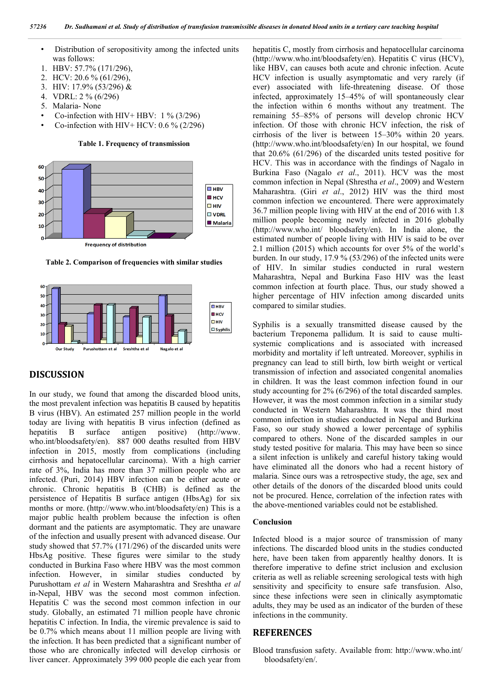- Distribution of seropositivity among the infected units was follows:
- 1. HBV: 57.7% (171/296),
- 2. HCV: 20.6 % (61/296),
- 3. HIV: 17.9% (53/296) &
- 4. VDRL: 2 % (6/296)
- 5. Malaria- None
- Co-infection with HIV+ HBV:  $1\%$  (3/296)
- Co-infection with HIV+ HCV:  $0.6\%$  (2/296)

**Table 1. Frequency of transmission**



**Frequency of distribution** 

**Table 2. Comparison of frequencies with similar studies**



### **DISCUSSION**

In our study, we found that among the discarded blood units, the most prevalent infection was hepatitis B caused by hepatitis B virus (HBV). An estimated 257 million people in the world today are living with hepatitis B virus infection (defined as hepatitis B surface antigen positive) (http://www. who.int/bloodsafety/en). 887 000 deaths resulted from HBV infection in 2015, mostly from complications (including cirrhosis and hepatocellular carcinoma). With a high carrier rate of 3%, India has more than 37 million people who are infected. (Puri, 2014) HBV infection can be either acute or chronic. Chronic hepatitis B (CHB) is defined as the persistence of Hepatitis B surface antigen (HbsAg) for six months or more. (http://www.who.int/bloodsafety/en) This is a major public health problem because the infection is often dormant and the patients are asymptomatic. They are unaware of the infection and usually present with advanced disease. Our study showed that 57.7% (171/296) of the discarded units were HbsAg positive. These figures were similar to the study conducted in Burkina Faso where HBV was the most common infection. However, in similar studies conducted by Purushottam *et al* in Western Maharashtra and Sreshtha *et al* in-Nepal, HBV was the second most common infection. Hepatitis C was the second most common infection in our study. Globally, an estimated 71 million people have chronic hepatitis C infection. In India, the viremic prevalence is said to be 0.7% which means about 11 million people are living with the infection. It has been predicted that a significant number of those who are chronically infected will develop cirrhosis or liver cancer. Approximately 399 000 people die each year from

hepatitis C, mostly from cirrhosis and hepatocellular carcinoma (http://www.who.int/bloodsafety/en). Hepatitis C virus (HCV), like HBV, can causes both acute and chronic infection. Acute HCV infection is usually asymptomatic and very rarely (if ever) associated with life-threatening disease. Of those infected, approximately 15–45% of will spontaneously clear the infection within 6 months without any treatment. The remaining 55–85% of persons will develop chronic HCV infection. Of those with chronic HCV infection, the risk of cirrhosis of the liver is between 15–30% within 20 years. (http://www.who.int/bloodsafety/en) In our hospital, we found that 20.6% (61/296) of the discarded units tested positive for HCV. This was in accordance with the findings of Nagalo in Burkina Faso (Nagalo *et al*., 2011). HCV was the most common infection in Nepal (Shrestha *et al*., 2009) and Western Maharashtra. (Giri *et al*., 2012) HIV was the third most common infection we encountered. There were approximately 36.7 million people living with HIV at the end of 2016 with 1.8 million people becoming newly infected in 2016 globally (http://www.who.int/ bloodsafety/en). In India alone, the estimated number of people living with HIV is said to be over 2.1 million (2015) which accounts for over 5% of the world's burden. In our study, 17.9 % (53/296) of the infected units were of HIV. In similar studies conducted in rural western Maharashtra, Nepal and Burkina Faso HIV was the least common infection at fourth place. Thus, our study showed a higher percentage of HIV infection among discarded units compared to similar studies.

Syphilis is a sexually transmitted disease caused by the bacterium Treponema pallidum. It is said to cause multisystemic complications and is associated with increased morbidity and mortality if left untreated. Moreover, syphilis in pregnancy can lead to still birth, low birth weight or vertical transmission of infection and associated congenital anomalies in children. It was the least common infection found in our study accounting for 2% (6/296) of the total discarded samples. However, it was the most common infection in a similar study conducted in Western Maharashtra. It was the third most common infection in studies conducted in Nepal and Burkina Faso, so our study showed a lower percentage of syphilis compared to others. None of the discarded samples in our study tested positive for malaria. This may have been so since a silent infection is unlikely and careful history taking would have eliminated all the donors who had a recent history of malaria. Since ours was a retrospective study, the age, sex and other details of the donors of the discarded blood units could not be procured. Hence, correlation of the infection rates with the above-mentioned variables could not be established.

#### **Conclusion**

Infected blood is a major source of transmission of many infections. The discarded blood units in the studies conducted here, have been taken from apparently healthy donors. It is therefore imperative to define strict inclusion and exclusion criteria as well as reliable screening serological tests with high sensitivity and specificity to ensure safe transfusion. Also, since these infections were seen in clinically asymptomatic adults, they may be used as an indicator of the burden of these infections in the community.

### **REFERENCES**

Blood transfusion safety. Available from: http://www.who.int/ bloodsafety/en/.